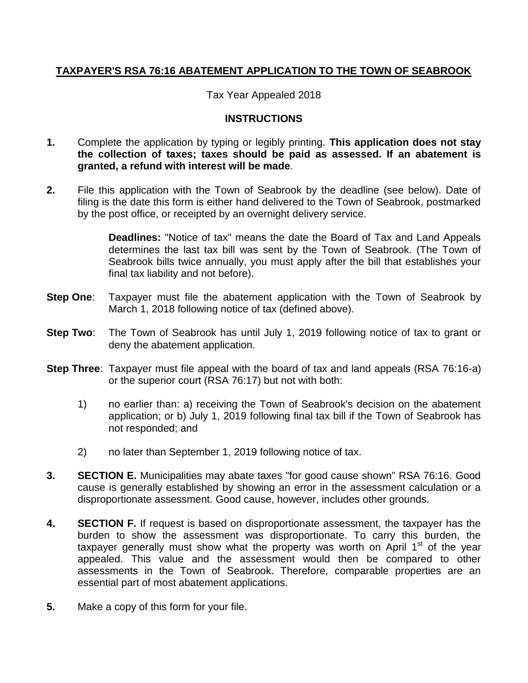# **TAXPAYER'S RSA 76:16 ABATEMENT APPLICATION TO THE TOWN OF SEABROOK**

Tax Year Appealed 2018

# **INSTRUCTIONS**

- **1.** Complete the application by typing or legibly printing. **This application does not stay the collection of taxes; taxes should be paid as assessed. If an abatement is granted, a refund with interest will be made**.
- **2.** File this application with the Town of Seabrook by the deadline (see below). Date of filing is the date this form is either hand delivered to the Town of Seabrook, postmarked by the post office, or receipted by an overnight delivery service.

**Deadlines:** "Notice of tax" means the date the Board of Tax and Land Appeals determines the last tax bill was sent by the Town of Seabrook. (The Town of Seabrook bills twice annually, you must apply after the bill that establishes your final tax liability and not before).

- **Step One**: Taxpayer must file the abatement application with the Town of Seabrook by March 1, 2018 following notice of tax (defined above).
- **Step Two**: The Town of Seabrook has until July 1, 2019 following notice of tax to grant or deny the abatement application.
- **Step Three**: Taxpayer must file appeal with the board of tax and land appeals (RSA 76:16-a) or the superior court (RSA 76:17) but not with both:
	- 1) no earlier than: a) receiving the Town of Seabrook's decision on the abatement application; or b) July 1, 2019 following final tax bill if the Town of Seabrook has not responded; and
	- 2) no later than September 1, 2019 following notice of tax.
- **3. SECTION E.** Municipalities may abate taxes "for good cause shown" RSA 76:16. Good cause is generally established by showing an error in the assessment calculation or a disproportionate assessment. Good cause, however, includes other grounds.
- **4. SECTION F.** If request is based on disproportionate assessment, the taxpayer has the burden to show the assessment was disproportionate. To carry this burden, the taxpayer generally must show what the property was worth on April  $1<sup>st</sup>$  of the year appealed. This value and the assessment would then be compared to other assessments in the Town of Seabrook. Therefore, comparable properties are an essential part of most abatement applications.
- **5.** Make a copy of this form for your file.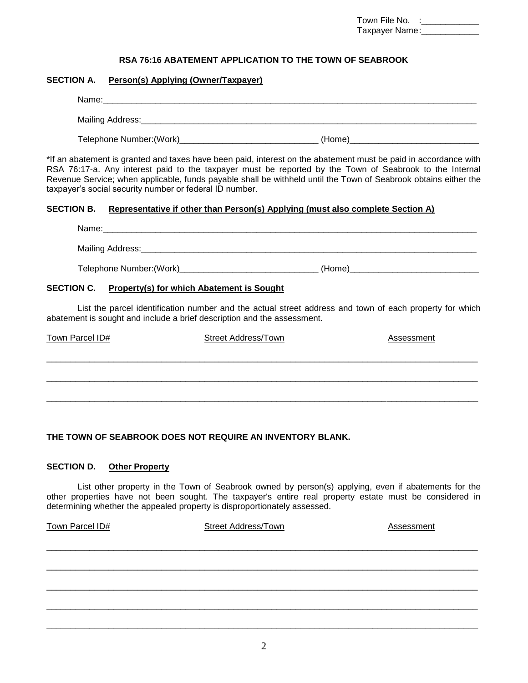| Town File No.  |  |
|----------------|--|
| Taxpayer Name: |  |

#### **RSA 76:16 ABATEMENT APPLICATION TO THE TOWN OF SEABROOK**

#### **SECTION A. Person(s) Applying (Owner/Taxpayer)**

| Name:                     |        |  |
|---------------------------|--------|--|
| Mailing Address:          |        |  |
| Telephone Number: (Work)_ | (Home) |  |

\*If an abatement is granted and taxes have been paid, interest on the abatement must be paid in accordance with RSA 76:17-a. Any interest paid to the taxpayer must be reported by the Town of Seabrook to the Internal Revenue Service; when applicable, funds payable shall be withheld until the Town of Seabrook obtains either the taxpayer's social security number or federal ID number.

#### **SECTION B. Representative if other than Person(s) Applying (must also complete Section A)**

| Name:                                                 |        |
|-------------------------------------------------------|--------|
|                                                       |        |
| Telephone Number: (Work)_____________________________ | (Home) |

# **SECTION C. Property(s) for which Abatement is Sought**

List the parcel identification number and the actual street address and town of each property for which abatement is sought and include a brief description and the assessment.

| Town Parcel ID# | <b>Street Address/Town</b> | Assessment |
|-----------------|----------------------------|------------|
|                 |                            |            |
|                 |                            |            |
|                 |                            |            |
|                 |                            |            |

# **THE TOWN OF SEABROOK DOES NOT REQUIRE AN INVENTORY BLANK.**

#### **SECTION D. Other Property**

List other property in the Town of Seabrook owned by person(s) applying, even if abatements for the other properties have not been sought. The taxpayer's entire real property estate must be considered in determining whether the appealed property is disproportionately assessed.

\_\_\_\_\_\_\_\_\_\_\_\_\_\_\_\_\_\_\_\_\_\_\_\_\_\_\_\_\_\_\_\_\_\_\_\_\_\_\_\_\_\_\_\_\_\_\_\_\_\_\_\_\_\_\_\_\_\_\_\_\_\_\_\_\_\_\_\_\_\_\_\_\_\_\_\_\_\_\_\_\_\_\_\_\_\_\_\_\_\_

\_\_\_\_\_\_\_\_\_\_\_\_\_\_\_\_\_\_\_\_\_\_\_\_\_\_\_\_\_\_\_\_\_\_\_\_\_\_\_\_\_\_\_\_\_\_\_\_\_\_\_\_\_\_\_\_\_\_\_\_\_\_\_\_\_\_\_\_\_\_\_\_\_\_\_\_\_\_\_\_\_\_\_\_\_\_\_\_\_\_

\_\_\_\_\_\_\_\_\_\_\_\_\_\_\_\_\_\_\_\_\_\_\_\_\_\_\_\_\_\_\_\_\_\_\_\_\_\_\_\_\_\_\_\_\_\_\_\_\_\_\_\_\_\_\_\_\_\_\_\_\_\_\_\_\_\_\_\_\_\_\_\_\_\_\_\_\_\_\_\_\_\_\_\_\_\_\_\_\_\_

\_\_\_\_\_\_\_\_\_\_\_\_\_\_\_\_\_\_\_\_\_\_\_\_\_\_\_\_\_\_\_\_\_\_\_\_\_\_\_\_\_\_\_\_\_\_\_\_\_\_\_\_\_\_\_\_\_\_\_\_\_\_\_\_\_\_\_\_\_\_\_\_\_\_\_\_\_\_\_\_\_\_\_\_\_\_\_\_\_\_

**\_\_\_\_\_\_\_\_\_\_\_\_\_\_\_\_\_\_\_\_\_\_\_\_\_\_\_\_\_\_\_\_\_\_\_\_\_\_\_\_\_\_\_\_\_\_\_\_\_\_\_\_\_\_\_\_\_\_\_\_\_\_\_\_\_\_\_\_\_\_\_\_\_\_\_\_\_\_\_\_\_\_\_\_\_\_\_\_\_\_**

Town Parcel ID# Street Address/Town Assessment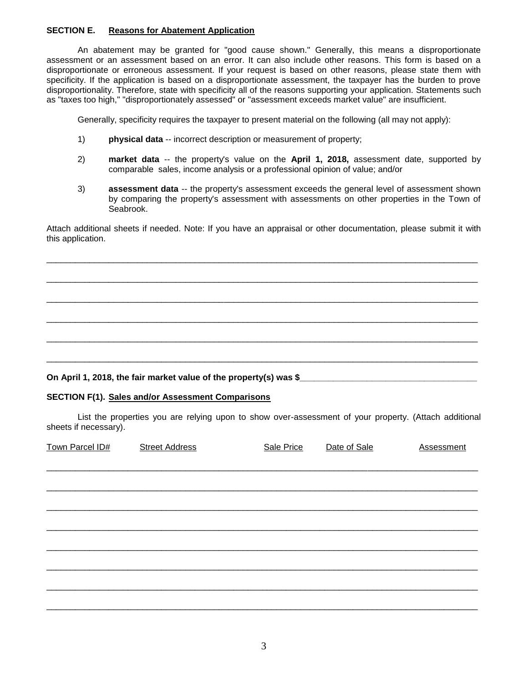# **SECTION E. Reasons for Abatement Application**

An abatement may be granted for "good cause shown." Generally, this means a disproportionate assessment or an assessment based on an error. It can also include other reasons. This form is based on a disproportionate or erroneous assessment. If your request is based on other reasons, please state them with specificity. If the application is based on a disproportionate assessment, the taxpayer has the burden to prove disproportionality. Therefore, state with specificity all of the reasons supporting your application. Statements such as "taxes too high," "disproportionately assessed" or "assessment exceeds market value" are insufficient.

Generally, specificity requires the taxpayer to present material on the following (all may not apply):

- 1) **physical data** -- incorrect description or measurement of property;
- 2) **market data** -- the property's value on the **April 1, 2018,** assessment date, supported by comparable sales, income analysis or a professional opinion of value; and/or
- 3) **assessment data** -- the property's assessment exceeds the general level of assessment shown by comparing the property's assessment with assessments on other properties in the Town of Seabrook.

Attach additional sheets if needed. Note: If you have an appraisal or other documentation, please submit it with this application.

\_\_\_\_\_\_\_\_\_\_\_\_\_\_\_\_\_\_\_\_\_\_\_\_\_\_\_\_\_\_\_\_\_\_\_\_\_\_\_\_\_\_\_\_\_\_\_\_\_\_\_\_\_\_\_\_\_\_\_\_\_\_\_\_\_\_\_\_\_\_\_\_\_\_\_\_\_\_\_\_\_\_\_\_\_\_\_\_\_\_

\_\_\_\_\_\_\_\_\_\_\_\_\_\_\_\_\_\_\_\_\_\_\_\_\_\_\_\_\_\_\_\_\_\_\_\_\_\_\_\_\_\_\_\_\_\_\_\_\_\_\_\_\_\_\_\_\_\_\_\_\_\_\_\_\_\_\_\_\_\_\_\_\_\_\_\_\_\_\_\_\_\_\_\_\_\_\_\_\_\_

\_\_\_\_\_\_\_\_\_\_\_\_\_\_\_\_\_\_\_\_\_\_\_\_\_\_\_\_\_\_\_\_\_\_\_\_\_\_\_\_\_\_\_\_\_\_\_\_\_\_\_\_\_\_\_\_\_\_\_\_\_\_\_\_\_\_\_\_\_\_\_\_\_\_\_\_\_\_\_\_\_\_\_\_\_\_\_\_\_\_

\_\_\_\_\_\_\_\_\_\_\_\_\_\_\_\_\_\_\_\_\_\_\_\_\_\_\_\_\_\_\_\_\_\_\_\_\_\_\_\_\_\_\_\_\_\_\_\_\_\_\_\_\_\_\_\_\_\_\_\_\_\_\_\_\_\_\_\_\_\_\_\_\_\_\_\_\_\_\_\_\_\_\_\_\_\_\_\_\_\_

\_\_\_\_\_\_\_\_\_\_\_\_\_\_\_\_\_\_\_\_\_\_\_\_\_\_\_\_\_\_\_\_\_\_\_\_\_\_\_\_\_\_\_\_\_\_\_\_\_\_\_\_\_\_\_\_\_\_\_\_\_\_\_\_\_\_\_\_\_\_\_\_\_\_\_\_\_\_\_\_\_\_\_\_\_\_\_\_\_\_

\_\_\_\_\_\_\_\_\_\_\_\_\_\_\_\_\_\_\_\_\_\_\_\_\_\_\_\_\_\_\_\_\_\_\_\_\_\_\_\_\_\_\_\_\_\_\_\_\_\_\_\_\_\_\_\_\_\_\_\_\_\_\_\_\_\_\_\_\_\_\_\_\_\_\_\_\_\_\_\_\_\_\_\_\_\_\_\_\_\_

#### On April 1, 2018, the fair market value of the property(s) was \$

#### **SECTION F(1). Sales and/or Assessment Comparisons**

List the properties you are relying upon to show over-assessment of your property. (Attach additional sheets if necessary).

| Town Parcel ID# | <b>Street Address</b> | Sale Price | Date of Sale | <b>Assessment</b> |
|-----------------|-----------------------|------------|--------------|-------------------|
|                 |                       |            |              |                   |
|                 |                       |            |              |                   |
|                 |                       |            |              |                   |
|                 |                       |            |              |                   |
|                 |                       |            |              |                   |
|                 |                       |            |              |                   |